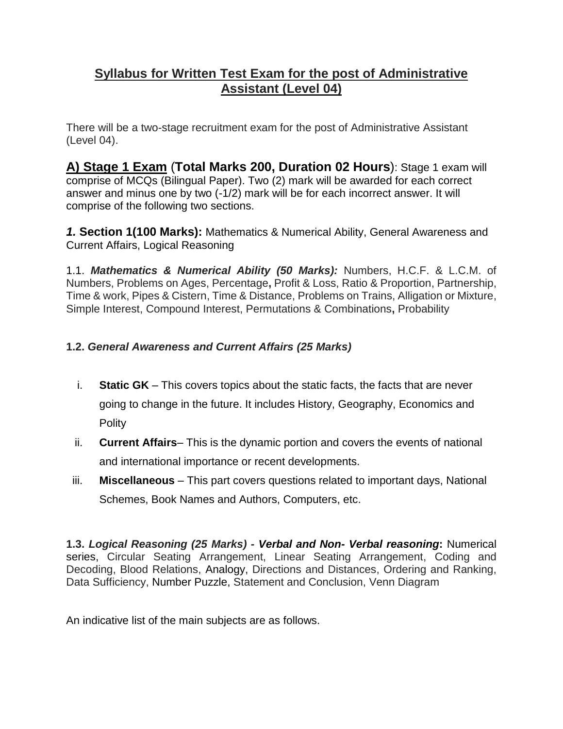# **Syllabus for Written Test Exam for the post of Administrative Assistant (Level 04)**

There will be a two-stage recruitment exam for the post of Administrative Assistant (Level 04).

**A) Stage 1 Exam** (**Total Marks 200, Duration 02 Hours**): Stage 1 exam will comprise of MCQs (Bilingual Paper). Two (2) mark will be awarded for each correct answer and minus one by two (-1/2) mark will be for each incorrect answer. It will comprise of the following two sections.

*1.* **Section 1(100 Marks):** Mathematics & Numerical Ability, General Awareness and Current Affairs, Logical Reasoning

1.1. *Mathematics & Numerical Ability (50 Marks):* Numbers, H.C.F. & L.C.M. of Numbers, Problems on Ages, Percentage**,** Profit & Loss, Ratio & Proportion, Partnership, Time & work, Pipes & Cistern, Time & Distance, Problems on Trains, Alligation or Mixture, Simple Interest, Compound Interest, Permutations & Combinations**,** Probability

# **1.2.** *General Awareness and Current Affairs (25 Marks)*

- i. **Static GK** This covers topics about the static facts, the facts that are never going to change in the future. It includes History, Geography, Economics and Polity
- ii. **Current Affairs** This is the dynamic portion and covers the events of national and international importance or recent developments.
- iii. **Miscellaneous** This part covers questions related to important days, National Schemes, Book Names and Authors, Computers, etc.

**1.3.** *Logical Reasoning (25 Marks) - Verbal and Non- Verbal reasoning***:** Numerical series, Circular Seating Arrangement, Linear Seating Arrangement, Coding and Decoding, Blood Relations, Analogy, Directions and Distances, Ordering and Ranking, Data Sufficiency, Number Puzzle, Statement and Conclusion, Venn Diagram

An indicative list of the main subjects are as follows.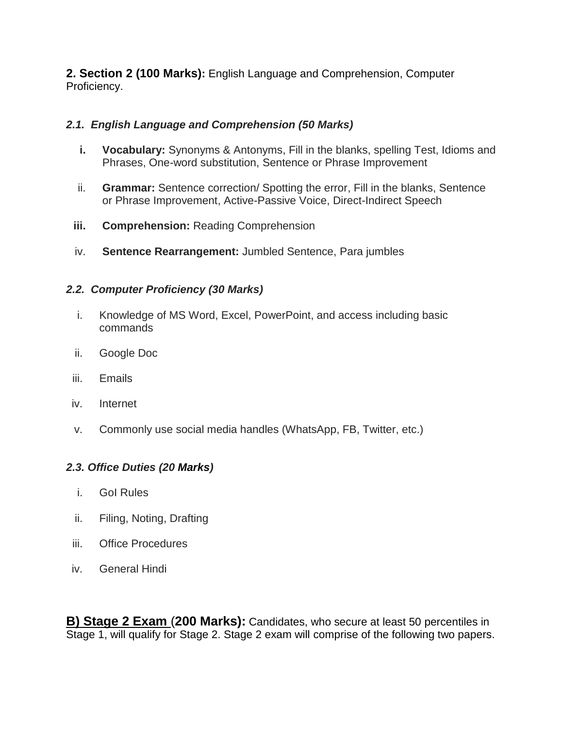**2. Section 2 (100 Marks):** English Language and Comprehension, Computer Proficiency.

### *2.1. English Language and Comprehension (50 Marks)*

- **i. Vocabulary:** Synonyms & Antonyms, Fill in the blanks, spelling Test, Idioms and Phrases, One-word substitution, Sentence or Phrase Improvement
- ii. **Grammar:** Sentence correction/ Spotting the error, Fill in the blanks, Sentence or Phrase Improvement, Active-Passive Voice, Direct-Indirect Speech
- **iii. Comprehension:** Reading Comprehension
- iv. **Sentence Rearrangement:** Jumbled Sentence, Para jumbles

#### *2.2. Computer Proficiency (30 Marks)*

- i. Knowledge of MS Word, Excel, PowerPoint, and access including basic commands
- ii. Google Doc
- iii. Emails
- iv. Internet
- v. Commonly use social media handles (WhatsApp, FB, Twitter, etc.)

#### *2.3. Office Duties (20 Marks)*

- i. GoI Rules
- ii. Filing, Noting, Drafting
- iii. Office Procedures
- iv. General Hindi

**B) Stage 2 Exam** (**200 Marks):** Candidates, who secure at least 50 percentiles in Stage 1, will qualify for Stage 2. Stage 2 exam will comprise of the following two papers.